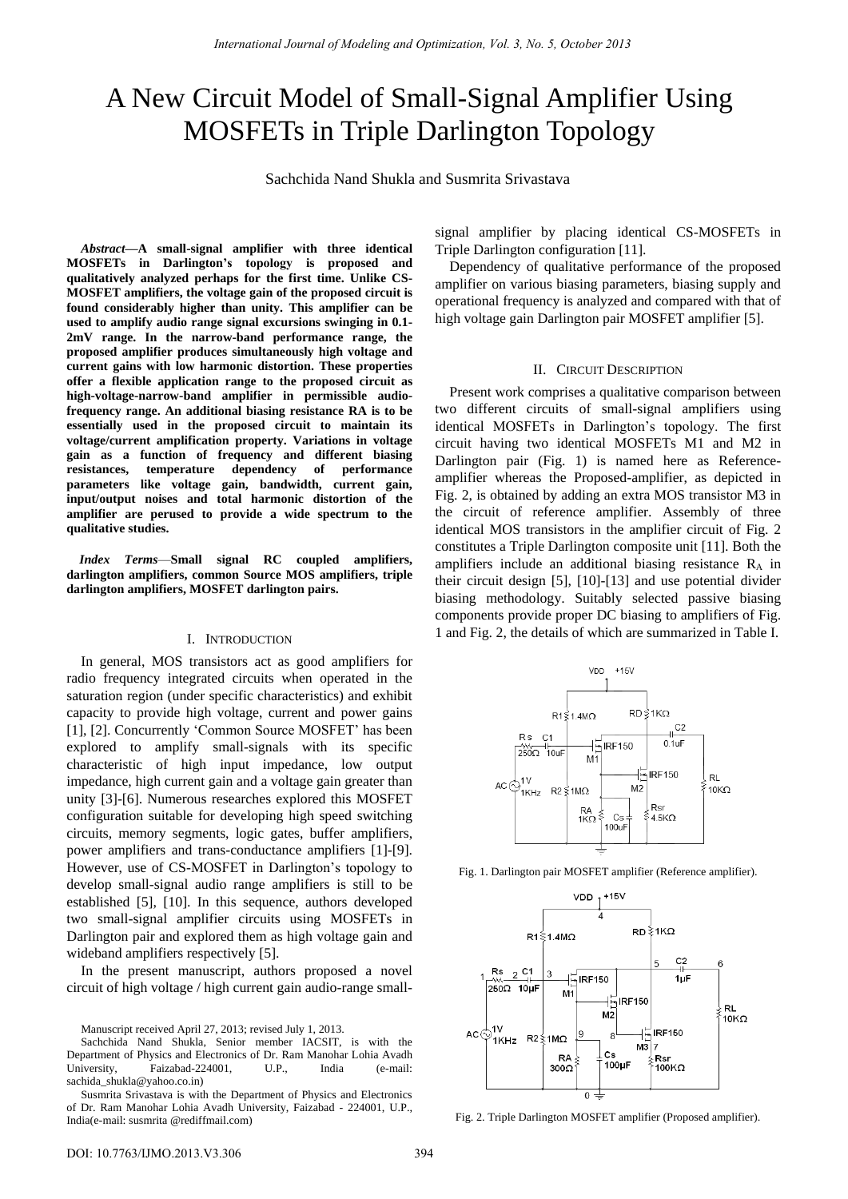# A New Circuit Model of Small-Signal Amplifier Using MOSFETs in Triple Darlington Topology

Sachchida Nand Shukla and Susmrita Srivastava

*Abstract—***A small-signal amplifier with three identical MOSFETs in Darlington's topology is proposed and qualitatively analyzed perhaps for the first time. Unlike CS-MOSFET amplifiers, the voltage gain of the proposed circuit is found considerably higher than unity. This amplifier can be used to amplify audio range signal excursions swinging in 0.1- 2mV range. In the narrow-band performance range, the proposed amplifier produces simultaneously high voltage and current gains with low harmonic distortion. These properties offer a flexible application range to the proposed circuit as high-voltage-narrow-band amplifier in permissible audiofrequency range. An additional biasing resistance RA is to be essentially used in the proposed circuit to maintain its voltage/current amplification property. Variations in voltage gain as a function of frequency and different biasing resistances, temperature dependency of performance parameters like voltage gain, bandwidth, current gain, input/output noises and total harmonic distortion of the amplifier are perused to provide a wide spectrum to the qualitative studies.** 

*Index Terms*—**Small signal RC coupled amplifiers, darlington amplifiers, common Source MOS amplifiers, triple darlington amplifiers, MOSFET darlington pairs.** 

#### I. INTRODUCTION

In general, MOS transistors act as good amplifiers for radio frequency integrated circuits when operated in the saturation region (under specific characteristics) and exhibit capacity to provide high voltage, current and power gains [1], [2]. Concurrently 'Common Source MOSFET' has been explored to amplify small-signals with its specific characteristic of high input impedance, low output impedance, high current gain and a voltage gain greater than unity [3]-[6]. Numerous researches explored this MOSFET configuration suitable for developing high speed switching circuits, memory segments, logic gates, buffer amplifiers, power amplifiers and trans-conductance amplifiers [1]-[9]. However, use of CS-MOSFET in Darlington"s topology to develop small-signal audio range amplifiers is still to be established [5], [10]. In this sequence, authors developed two small-signal amplifier circuits using MOSFETs in Darlington pair and explored them as high voltage gain and wideband amplifiers respectively [5].

In the present manuscript, authors proposed a novel circuit of high voltage / high current gain audio-range small-

Manuscript received April 27, 2013; revised July 1, 2013.

Sachchida Nand Shukla, Senior member IACSIT, is with the Department of Physics and Electronics of Dr. Ram Manohar Lohia Avadh University, Faizabad-224001, U.P., India (e-mail: sachida\_shukla@yahoo.co.in)

Susmrita Srivastava is with the Department of Physics and Electronics of Dr. Ram Manohar Lohia Avadh University, Faizabad - 224001, U.P., India(e-mail: susmrita @rediffmail.com)

signal amplifier by placing identical CS-MOSFETs in Triple Darlington configuration [11].

Dependency of qualitative performance of the proposed amplifier on various biasing parameters, biasing supply and operational frequency is analyzed and compared with that of high voltage gain Darlington pair MOSFET amplifier [5].

#### II. CIRCUIT DESCRIPTION

Present work comprises a qualitative comparison between two different circuits of small-signal amplifiers using identical MOSFETs in Darlington's topology. The first circuit having two identical MOSFETs M1 and M2 in Darlington pair (Fig. 1) is named here as Referenceamplifier whereas the Proposed-amplifier, as depicted in Fig. 2, is obtained by adding an extra MOS transistor M3 in the circuit of reference amplifier. Assembly of three identical MOS transistors in the amplifier circuit of Fig. 2 constitutes a Triple Darlington composite unit [11]. Both the amplifiers include an additional biasing resistance  $R_A$  in their circuit design [5], [10]-[13] and use potential divider biasing methodology. Suitably selected passive biasing components provide proper DC biasing to amplifiers of Fig. 1 and Fig. 2, the details of which are summarized in Table I.



Fig. 1. Darlington pair MOSFET amplifier (Reference amplifier).



Fig. 2. Triple Darlington MOSFET amplifier (Proposed amplifier).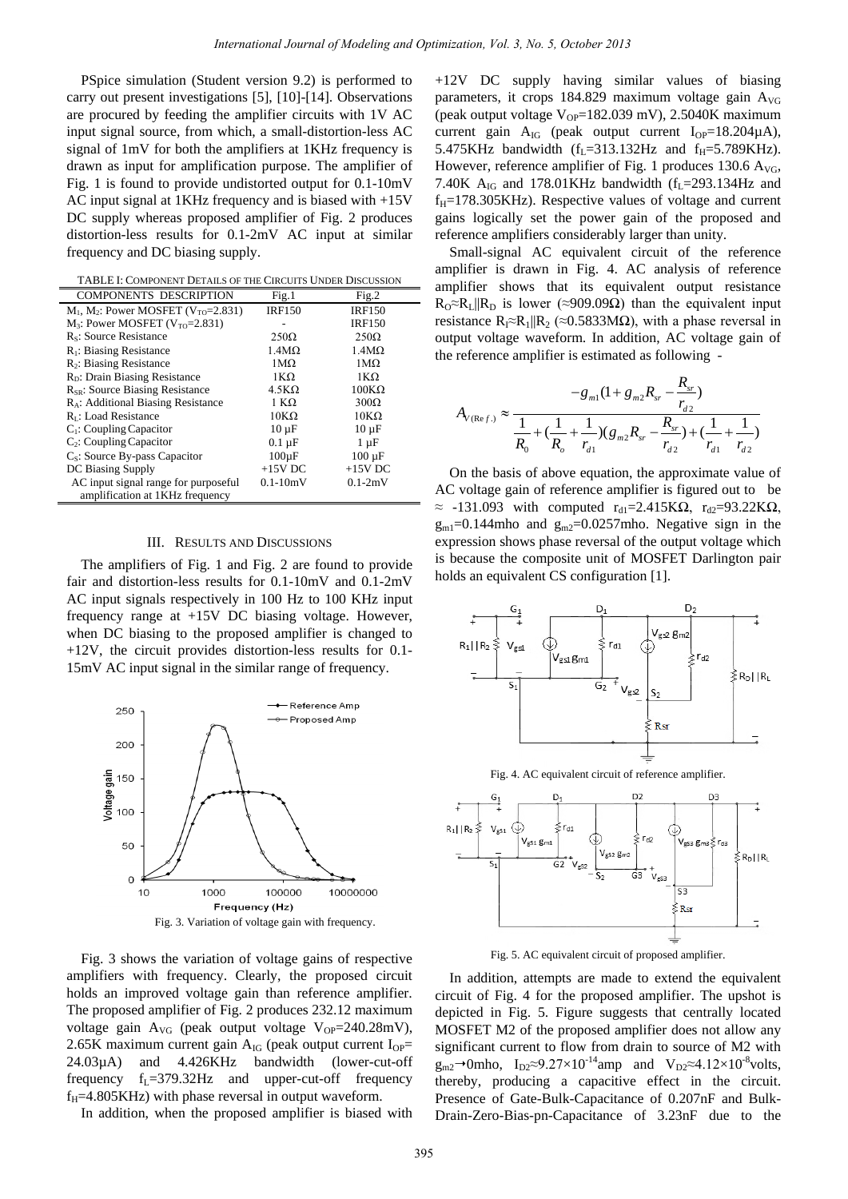PSpice simulation (Student version 9.2) is performed to carry out present investigations [5], [10]-[14]. Observations are procured by feeding the amplifier circuits with 1V AC input signal source, from which, a small-distortion-less AC signal of 1mV for both the amplifiers at 1KHz frequency is drawn as input for amplification purpose. The amplifier of Fig. 1 is found to provide undistorted output for 0.1-10mV AC input signal at 1KHz frequency and is biased with +15V DC supply whereas proposed amplifier of Fig. 2 produces distortion-less results for 0.1-2mV AC input at similar frequency and DC biasing supply.

TABLE I: COMPONENT DETAILS OF THE CIRCUITS UNDER DISCUSSION

| <b>COMPONENTS DESCRIPTION</b>                         | Fig.1                     | Fig.2             |
|-------------------------------------------------------|---------------------------|-------------------|
| $M_1$ , $M_2$ : Power MOSFET (V <sub>TO</sub> =2.831) | <b>IRF150</b>             | <b>IRF150</b>     |
| $M_3$ : Power MOSFET ( $V_{TO}$ =2.831)               |                           | <b>IRF150</b>     |
| R <sub>s</sub> : Source Resistance                    | $250\Omega$               | $250\Omega$       |
| $R_1$ : Biasing Resistance                            | $1.4M\Omega$              | $1.4M\Omega$      |
| $R_2$ : Biasing Resistance                            | $1\text{M}\Omega$         | $1\text{M}\Omega$ |
| R <sub>D</sub> : Drain Biasing Resistance             | $1K\Omega$                | $1K\Omega$        |
| $R_{SR}$ : Source Biasing Resistance                  | $4.5K\Omega$              | $100K\Omega$      |
| R <sub>A</sub> : Additional Biasing Resistance        | 1 K $\Omega$              | $300\Omega$       |
| $RI$ : Load Resistance                                | $10K\Omega$               | $10K\Omega$       |
| $C_1$ : Coupling Capacitor                            | $10 \mu F$                | $10 \mu F$        |
| $C_2$ : Coupling Capacitor                            | $0.1 \text{ }\mu\text{F}$ | $1 \mu F$         |
| $C_s$ : Source By-pass Capacitor                      | $100 \,\mathrm{\upmu F}$  | $100 \mu F$       |
| DC Biasing Supply                                     | $+15V$ DC                 | $+15V$ DC         |
| AC input signal range for purposeful                  | $0.1 - 10mV$              | $0.1 - 2mV$       |
| amplification at 1KHz frequency                       |                           |                   |

## III. RESULTS AND DISCUSSIONS

The amplifiers of Fig. 1 and Fig. 2 are found to provide fair and distortion-less results for 0.1-10mV and 0.1-2mV AC input signals respectively in 100 Hz to 100 KHz input frequency range at +15V DC biasing voltage. However, when DC biasing to the proposed amplifier is changed to +12V, the circuit provides distortion-less results for 0.1- 15mV AC input signal in the similar range of frequency.



Fig. 3 shows the variation of voltage gains of respective amplifiers with frequency. Clearly, the proposed circuit holds an improved voltage gain than reference amplifier. The proposed amplifier of Fig. 2 produces 232.12 maximum voltage gain  $A_{VG}$  (peak output voltage  $V_{OP}$ =240.28mV), 2.65K maximum current gain  $A_{IG}$  (peak output current  $I_{OP}$ = 24.03µA) and 4.426KHz bandwidth (lower-cut-off frequency  $f_L = 379.32$  Hz and upper-cut-off frequency  $f_H$ =4.805KHz) with phase reversal in output waveform.

In addition, when the proposed amplifier is biased with

+12V DC supply having similar values of biasing parameters, it crops 184.829 maximum voltage gain  $A_{\rm VG}$ (peak output voltage  $V_{OP}$ =182.039 mV), 2.5040K maximum current gain  $A_{IG}$  (peak output current  $I_{OP} = 18.204 \mu A$ ), 5.475KHz bandwidth ( $f_L$ =313.132Hz and  $f_H$ =5.789KHz). However, reference amplifier of Fig. 1 produces 130.6  $A_{\text{VG}}$ , 7.40K  $A_{IG}$  and 178.01KHz bandwidth ( $f_L$ =293.134Hz and  $f_H$ =178.305KHz). Respective values of voltage and current gains logically set the power gain of the proposed and reference amplifiers considerably larger than unity.

Small-signal AC equivalent circuit of the reference amplifier is drawn in Fig. 4. AC analysis of reference amplifier shows that its equivalent output resistance  $R_0 \approx R_L || R_D$  is lower (≈909.09 $\Omega$ ) than the equivalent input resistance  $R_1 \approx R_1 || R_2 \approx 0.5833 M\Omega$ , with a phase reversal in output voltage waveform. In addition, AC voltage gain of

the reference amplifier is estimated as following -  
\n
$$
-g_{m1}(1 + g_{m2}R_{sr} - \frac{R_{sr}}{r_{d2}})
$$
\n
$$
A_{V(\text{Re}f.)} \approx \frac{1}{\frac{1}{R_0} + (\frac{1}{R_o} + \frac{1}{r_{d1}})(g_{m2}R_{sr} - \frac{R_{sr}}{r_{d2}}) + (\frac{1}{r_{d1}} + \frac{1}{r_{d2}})}
$$

On the basis of above equation, the approximate value of AC voltage gain of reference amplifier is figured out to be  $\approx$  -131.093 with computed r<sub>d1</sub>=2.415KQ, r<sub>d2</sub>=93.22KQ,  $g_{m1}$ =0.144mho and  $g_{m2}$ =0.0257mho. Negative sign in the expression shows phase reversal of the output voltage which is because the composite unit of MOSFET Darlington pair holds an equivalent CS configuration [1].





Fig. 5. AC equivalent circuit of proposed amplifier.

In addition, attempts are made to extend the equivalent circuit of Fig. 4 for the proposed amplifier. The upshot is depicted in Fig. 5. Figure suggests that centrally located MOSFET M2 of the proposed amplifier does not allow any significant current to flow from drain to source of M2 with  $g_{m2}$ →0mho, I<sub>D2</sub>≈9.27×10<sup>-14</sup>amp and V<sub>D2</sub>≈4.12×10<sup>-8</sup>volts, thereby, producing a capacitive effect in the circuit. Presence of Gate-Bulk-Capacitance of 0.207nF and Bulk-Drain-Zero-Bias-pn-Capacitance of 3.23nF due to the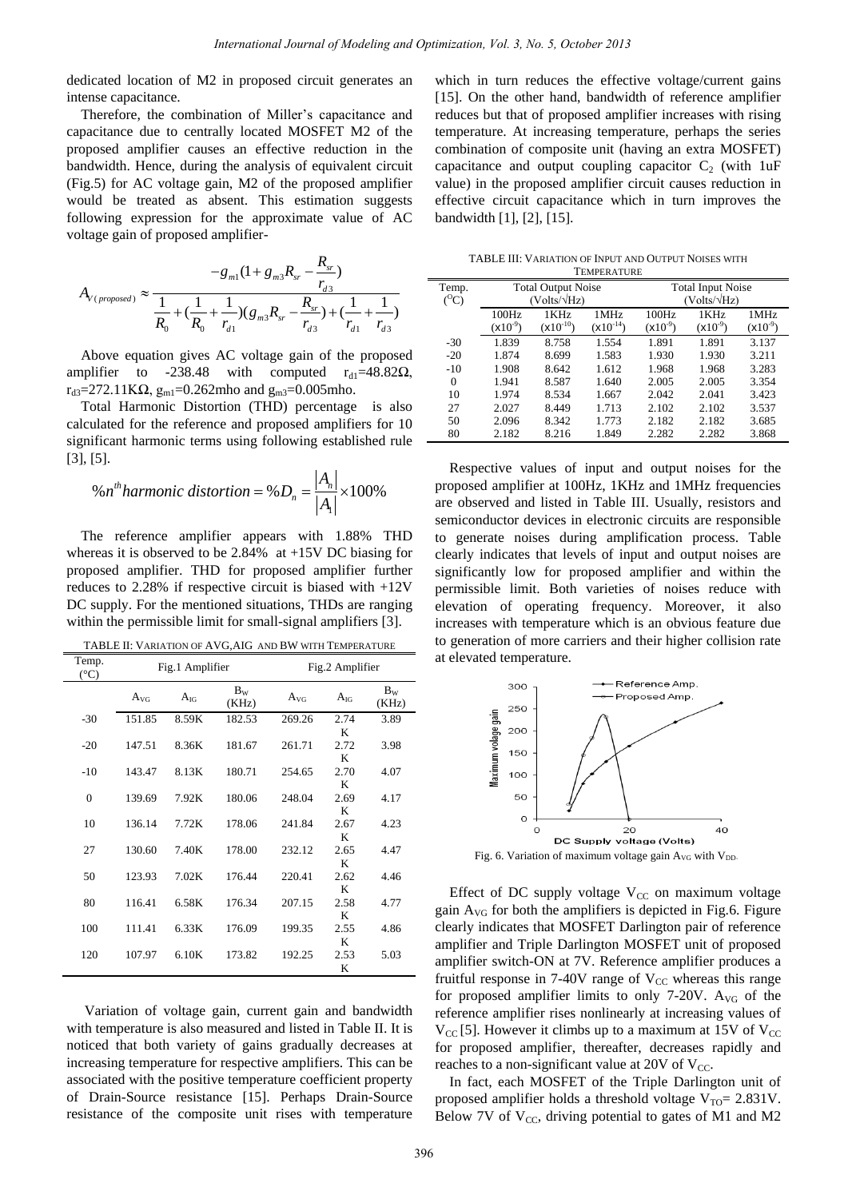dedicated location of M2 in proposed circuit generates an intense capacitance.

Therefore, the combination of Miller's capacitance and capacitance due to centrally located MOSFET M2 of the proposed amplifier causes an effective reduction in the bandwidth. Hence, during the analysis of equivalent circuit (Fig.5) for AC voltage gain, M2 of the proposed amplifier would be treated as absent. This estimation suggests following expression for the approximate value of AC

voltage gain of proposed amplifier-  
\n
$$
-g_{m1}(1 + g_{m3}R_{sr} - \frac{R_{sr}}{r_{d3}})
$$
\n
$$
A_{V(proposed)} \approx \frac{1}{\frac{1}{R_0} + (\frac{1}{R_0} + \frac{1}{r_{d1}})(g_{m3}R_{sr} - \frac{R_{sr}}{r_{d3}}) + (\frac{1}{r_{d1}} + \frac{1}{r_{d3}})}
$$

Above equation gives AC voltage gain of the proposed amplifier to -238.48 with computed  $r_{d1}=48.82\Omega$ ,  $r_{d3}=272.11$ KΩ,  $g_{m1}=0.262$ mho and  $g_{m3}=0.005$ mho.

Total Harmonic Distortion (THD) percentage is also calculated for the reference and proposed amplifiers for 10 significant harmonic terms using following established rule [3], [5].

[5].  
%*n*<sup>th</sup>harmonic distortion = %
$$
D_n = \frac{|A_n|}{|A_1|} \times 100\%
$$

The reference amplifier appears with 1.88% THD whereas it is observed to be 2.84% at +15V DC biasing for proposed amplifier. THD for proposed amplifier further reduces to 2.28% if respective circuit is biased with +12V DC supply. For the mentioned situations, THDs are ranging within the permissible limit for small-signal amplifiers [3].

TABLE II: VARIATION OF AVG,AIG AND BW WITH TEMPERATURE Temp.

| Temp.<br>(C) | Fig.1 Amplifier |          |                  | Fig.2 Amplifier |           |                  |
|--------------|-----------------|----------|------------------|-----------------|-----------|------------------|
|              | $A_{VG}$        | $A_{IG}$ | $B_{W}$<br>(KHz) | $A_{VG}$        | $A_{IG}$  | $B_{W}$<br>(KHz) |
| $-30$        | 151.85          | 8.59K    | 182.53           | 269.26          | 2.74<br>K | 3.89             |
| $-20$        | 147.51          | 8.36K    | 181.67           | 261.71          | 2.72<br>K | 3.98             |
| $-10$        | 143.47          | 8.13K    | 180.71           | 254.65          | 2.70<br>K | 4.07             |
| $\theta$     | 139.69          | 7.92K    | 180.06           | 248.04          | 2.69<br>K | 4.17             |
| 10           | 136.14          | 7.72K    | 178.06           | 241.84          | 2.67<br>K | 4.23             |
| 27           | 130.60          | 7.40K    | 178.00           | 232.12          | 2.65<br>K | 4.47             |
| 50           | 123.93          | 7.02K    | 176.44           | 220.41          | 2.62<br>K | 4.46             |
| 80           | 116.41          | 6.58K    | 176.34           | 207.15          | 2.58<br>K | 4.77             |
| 100          | 111.41          | 6.33K    | 176.09           | 199.35          | 2.55<br>K | 4.86             |
| 120          | 107.97          | 6.10K    | 173.82           | 192.25          | 2.53<br>K | 5.03             |

 Variation of voltage gain, current gain and bandwidth with temperature is also measured and listed in Table II. It is noticed that both variety of gains gradually decreases at increasing temperature for respective amplifiers. This can be associated with the positive temperature coefficient property of Drain-Source resistance [15]. Perhaps Drain-Source resistance of the composite unit rises with temperature which in turn reduces the effective voltage/current gains [15]. On the other hand, bandwidth of reference amplifier reduces but that of proposed amplifier increases with rising temperature. At increasing temperature, perhaps the series combination of composite unit (having an extra MOSFET) capacitance and output coupling capacitor  $C_2$  (with 1uF value) in the proposed amplifier circuit causes reduction in effective circuit capacitance which in turn improves the bandwidth [1], [2], [15].

TABLE III: VARIATION OF INPUT AND OUTPUT NOISES WITH **TEMPERATURE** 

| Temp.<br>$(^0C)$ | <b>Total Output Noise</b><br>$(Volts/\sqrt{Hz})$ |                       |                                    | <b>Total Input Noise</b><br>$(Volts/\sqrt{Hz})$ |                      |                      |
|------------------|--------------------------------------------------|-----------------------|------------------------------------|-------------------------------------------------|----------------------|----------------------|
|                  | 100Hz<br>$(x10^{-9})$                            | 1KHz<br>$(x10^{-10})$ | 1 MH <sub>z</sub><br>$(x10^{-14})$ | 100Hz<br>$(x10^{-9})$                           | 1KHz<br>$(x10^{-9})$ | 1MHz<br>$(X10^{-9})$ |
| $-30$            | 1.839                                            | 8.758                 | 1.554                              | 1.891                                           | 1.891                | 3.137                |
| $-20$            | 1.874                                            | 8.699                 | 1.583                              | 1.930                                           | 1.930                | 3.211                |
| $-10$            | 1.908                                            | 8.642                 | 1.612                              | 1.968                                           | 1.968                | 3.283                |
| $\Omega$         | 1.941                                            | 8.587                 | 1.640                              | 2.005                                           | 2.005                | 3.354                |
| 10               | 1.974                                            | 8.534                 | 1.667                              | 2.042                                           | 2.041                | 3.423                |
| 27               | 2.027                                            | 8.449                 | 1.713                              | 2.102                                           | 2.102                | 3.537                |
| 50               | 2.096                                            | 8.342                 | 1.773                              | 2.182                                           | 2.182                | 3.685                |
| 80               | 2.182                                            | 8.216                 | 1.849                              | 2.282                                           | 2.282                | 3.868                |

Respective values of input and output noises for the proposed amplifier at 100Hz, 1KHz and 1MHz frequencies are observed and listed in Table III. Usually, resistors and semiconductor devices in electronic circuits are responsible to generate noises during amplification process. Table clearly indicates that levels of input and output noises are significantly low for proposed amplifier and within the permissible limit. Both varieties of noises reduce with elevation of operating frequency. Moreover, it also increases with temperature which is an obvious feature due to generation of more carriers and their higher collision rate at elevated temperature.



Effect of DC supply voltage  $V_{CC}$  on maximum voltage gain  $A_{\rm VG}$  for both the amplifiers is depicted in Fig.6. Figure clearly indicates that MOSFET Darlington pair of reference amplifier and Triple Darlington MOSFET unit of proposed amplifier switch-ON at 7V. Reference amplifier produces a fruitful response in 7-40V range of  $V_{CC}$  whereas this range for proposed amplifier limits to only 7-20V.  $A_{VG}$  of the reference amplifier rises nonlinearly at increasing values of  $V_{\text{CC}}$  [5]. However it climbs up to a maximum at 15V of  $V_{\text{CC}}$ for proposed amplifier, thereafter, decreases rapidly and reaches to a non-significant value at 20V of  $V_{CC}$ .

In fact, each MOSFET of the Triple Darlington unit of proposed amplifier holds a threshold voltage  $V_{\text{TO}}= 2.831$ V. Below 7V of  $V_{CC}$ , driving potential to gates of M1 and M2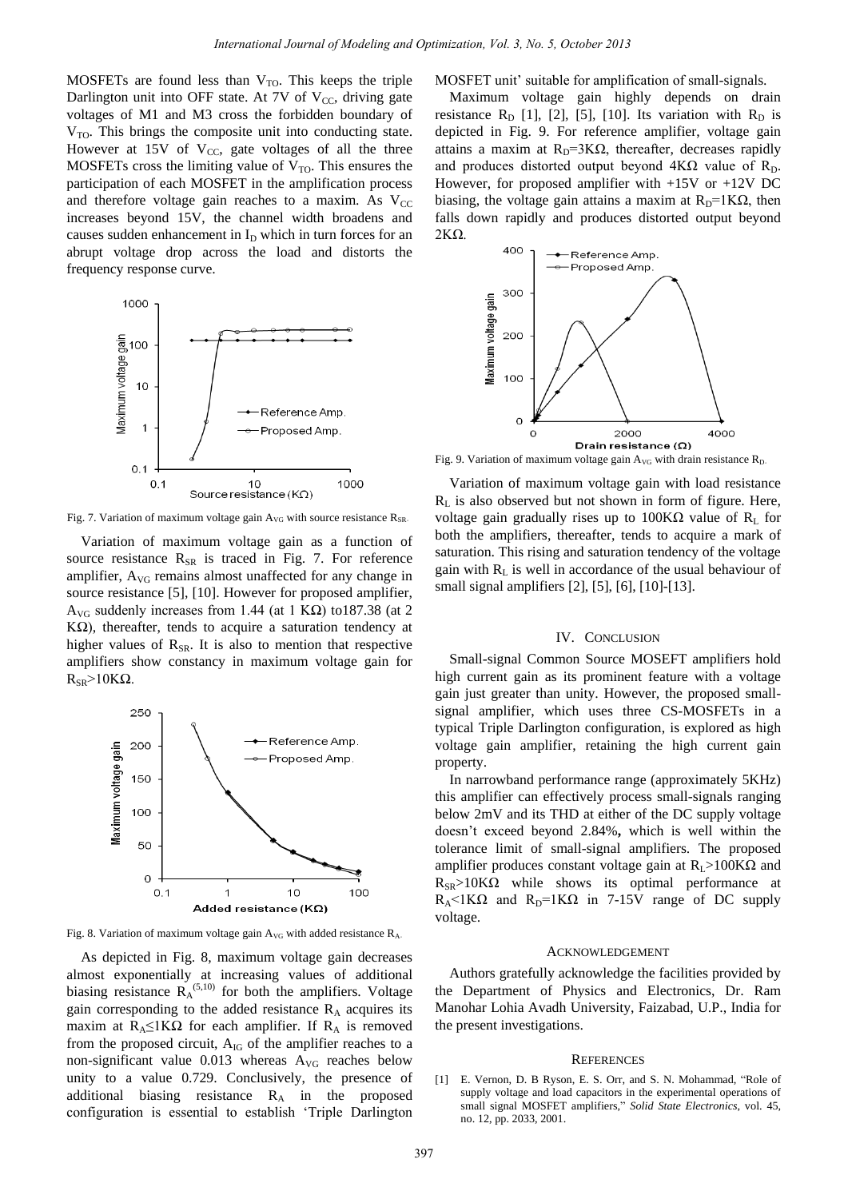MOSFETs are found less than  $V_{TO}$ . This keeps the triple Darlington unit into OFF state. At  $7V$  of  $V_{CC}$ , driving gate voltages of M1 and M3 cross the forbidden boundary of  $V<sub>TO</sub>$ . This brings the composite unit into conducting state. However at 15V of  $V_{CC}$ , gate voltages of all the three MOSFETs cross the limiting value of  $V_{\text{TO}}$ . This ensures the participation of each MOSFET in the amplification process and therefore voltage gain reaches to a maxim. As  $V_{CC}$ increases beyond 15V, the channel width broadens and causes sudden enhancement in  $I_D$  which in turn forces for an abrupt voltage drop across the load and distorts the frequency response curve.



Fig. 7. Variation of maximum voltage gain  $A_{VG}$  with source resistance  $R_{SR}$ 

Variation of maximum voltage gain as a function of source resistance  $R_{SR}$  is traced in Fig. 7. For reference amplifier, A<sub>VG</sub> remains almost unaffected for any change in source resistance [5], [10]. However for proposed amplifier, A<sub>VG</sub> suddenly increases from 1.44 (at 1 KΩ) to187.38 (at 2 K $\Omega$ ), thereafter, tends to acquire a saturation tendency at higher values of  $R_{SR}$ . It is also to mention that respective amplifiers show constancy in maximum voltage gain for  $R_{SP}$ >10KΩ.



Fig. 8. Variation of maximum voltage gain AVG with added resistance R<sup>A</sup>。

As depicted in Fig. 8, maximum voltage gain decreases almost exponentially at increasing values of additional biasing resistance  $R_A^{(5,10)}$  for both the amplifiers. Voltage gain corresponding to the added resistance  $R_A$  acquires its maxim at  $R_A \leq 1K\Omega$  for each amplifier. If  $R_A$  is removed from the proposed circuit,  $A_{IG}$  of the amplifier reaches to a non-significant value  $0.013$  whereas  $A_{\text{VG}}$  reaches below unity to a value 0.729. Conclusively, the presence of additional biasing resistance R<sub>A</sub> in the proposed configuration is essential to establish "Triple Darlington

MOSFET unit' suitable for amplification of small-signals.

Maximum voltage gain highly depends on drain resistance  $R_D$  [1], [2], [5], [10]. Its variation with  $R_D$  is depicted in Fig. 9. For reference amplifier, voltage gain attains a maxim at  $R_D=3K\Omega$ , thereafter, decreases rapidly and produces distorted output beyond  $4K\Omega$  value of R<sub>D</sub>. However, for proposed amplifier with +15V or +12V DC biasing, the voltage gain attains a maxim at  $R_D=1K\Omega$ , then falls down rapidly and produces distorted output beyond 2KΩ.



Fig. 9. Variation of maximum voltage gain  $A_{VG}$  with drain resistance  $R_D$ 

Variation of maximum voltage gain with load resistance  $R<sub>L</sub>$  is also observed but not shown in form of figure. Here, voltage gain gradually rises up to  $100KΩ$  value of R<sub>L</sub> for both the amplifiers, thereafter, tends to acquire a mark of saturation. This rising and saturation tendency of the voltage gain with  $R<sub>L</sub>$  is well in accordance of the usual behaviour of small signal amplifiers [2], [5], [6], [10]-[13].

### IV. CONCLUSION

Small-signal Common Source MOSEFT amplifiers hold high current gain as its prominent feature with a voltage gain just greater than unity. However, the proposed smallsignal amplifier, which uses three CS-MOSFETs in a typical Triple Darlington configuration, is explored as high voltage gain amplifier, retaining the high current gain property.

In narrowband performance range (approximately 5KHz) this amplifier can effectively process small-signals ranging below 2mV and its THD at either of the DC supply voltage doesn"t exceed beyond 2.84%**,** which is well within the tolerance limit of small-signal amplifiers. The proposed amplifier produces constant voltage gain at  $R_L$ >100KΩ and  $R_{SP} > 10K\Omega$  while shows its optimal performance at  $R_A$ <1K $\Omega$  and  $R_D$ =1K $\Omega$  in 7-15V range of DC supply voltage.

# ACKNOWLEDGEMENT

Authors gratefully acknowledge the facilities provided by the Department of Physics and Electronics, Dr. Ram Manohar Lohia Avadh University, Faizabad, U.P., India for the present investigations.

#### **REFERENCES**

[1] E. Vernon, D. B Ryson, E. S. Orr, and S. N. Mohammad, "Role of supply voltage and load capacitors in the experimental operations of small signal MOSFET amplifiers," *Solid State Electronics*, vol. 45, no. 12, pp. 2033, 2001.